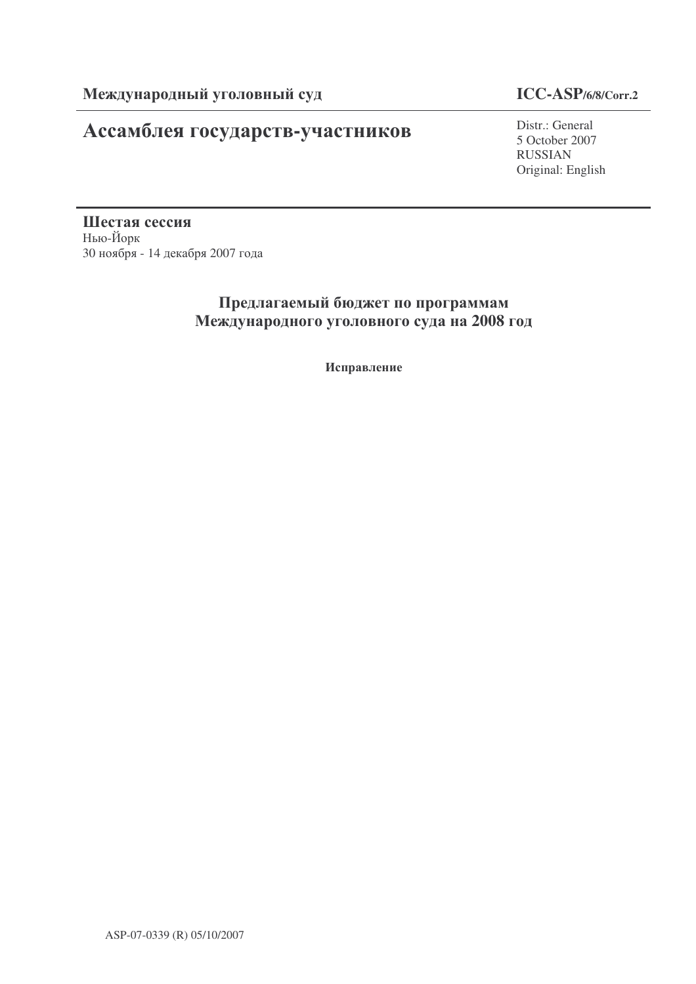## **Ассамблея государств-участников** Distr.: General

### **ICC-ASP/6/8/Corr.2**

5 October 2007 RUSSIAN Original: English

Шестая сессия Нью-Йорк 30 ноября - 14 декабря 2007 года

## Предлагаемый бюджет по программам Международного уголовного суда на 2008 год

Исправление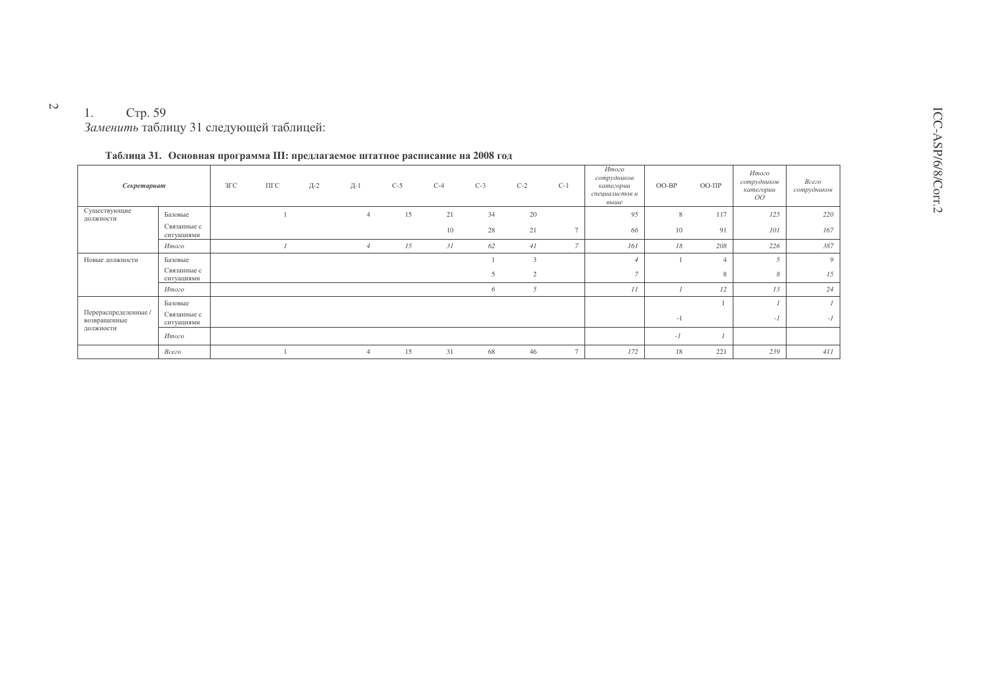## 1. Стр. 59<br>Заменить таблицу 31 следующей таблицей:

| Секретариат                                       |                           | $3\Gamma C$ | ПГС | Д-2 | Д-1            | $C-5$ | $C-4$ | $C-3$ | $C-2$          | $C-1$          | Итого<br>сотрудников<br>категории<br>специалистов и<br>выше | OO-BP | $OO-IIIp$ | Итого<br>сотрудников<br>категории<br>OO | Всего<br>сотрудников |
|---------------------------------------------------|---------------------------|-------------|-----|-----|----------------|-------|-------|-------|----------------|----------------|-------------------------------------------------------------|-------|-----------|-----------------------------------------|----------------------|
| Существующие<br>должности                         | Базовые                   |             |     |     | $\overline{4}$ | 15    | 21    | 34    | 20             |                | 95                                                          | 8     | 117       | 125                                     | 220                  |
|                                                   | Связанные с<br>ситуациями |             |     |     |                |       | 10    | 28    | 21             |                | 66                                                          | 10    | 91        | 101                                     | 167                  |
|                                                   | Итого                     |             |     |     |                | 15    | 31    | 62    | 41             |                | 161                                                         | 18    | 208       | 226                                     | 387                  |
| Новые должности                                   | Базовые                   |             |     |     |                |       |       |       |                |                |                                                             |       |           |                                         | 9                    |
|                                                   | Связанные с<br>ситуациями |             |     |     |                |       |       |       | $\overline{2}$ |                | $\overline{\phantom{a}}$                                    |       | 8         | 8                                       | 15                   |
|                                                   | Итого                     |             |     |     |                |       |       | 6     | 5              |                | II                                                          |       | 12        | 13                                      | 24                   |
| Перераспределенные /<br>возвращенные<br>должности | Базовые                   |             |     |     |                |       |       |       |                |                |                                                             |       |           |                                         | $\mathcal{I}$        |
|                                                   | Связанные с<br>ситуациями |             |     |     |                |       |       |       |                |                |                                                             | $-1$  |           | $-I$                                    | $-I$                 |
|                                                   | Итого                     |             |     |     |                |       |       |       |                |                |                                                             | $-I$  |           |                                         |                      |
|                                                   | Всего                     |             |     |     | $\overline{4}$ | 15    | 31    | 68    | 46             | $\overline{a}$ | 172                                                         | 18    | 221       | 239                                     | 411                  |

|  |  |  |  |  |  | Таблица 31. Основная программа III: предлагаемое штатное расписание на 2008 год |  |  |  |  |  |
|--|--|--|--|--|--|---------------------------------------------------------------------------------|--|--|--|--|--|
|--|--|--|--|--|--|---------------------------------------------------------------------------------|--|--|--|--|--|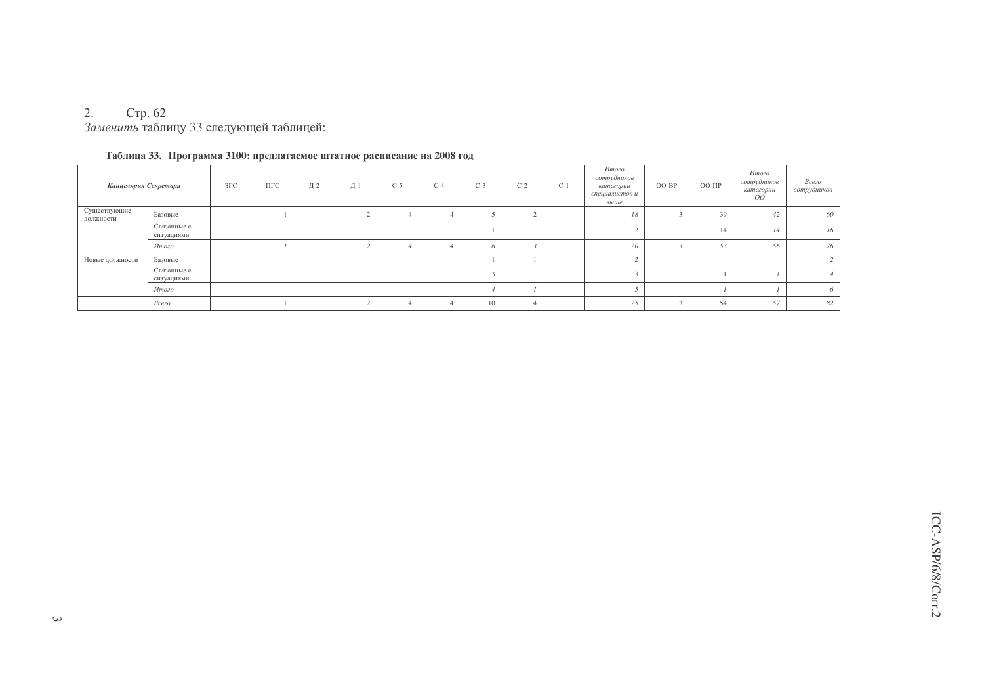#### 2. Стр. 62 Заменить таблицу 33 следующей таблицей:

| Канцелярия Секретаря      |                           | $3\Gamma C$ | $\Pi\Gamma C$ | Д-2 | Д-1 | $C-5$ | $C-4$ | $C-3$ | $C-2$  | $C-1$ | Итого<br>сотрудников<br>категории<br>специалистов и<br>выше | OO-BP | $OO-III$ | Итого<br>сотрудников<br>категории<br>OO | Всего<br>сотрудников |
|---------------------------|---------------------------|-------------|---------------|-----|-----|-------|-------|-------|--------|-------|-------------------------------------------------------------|-------|----------|-----------------------------------------|----------------------|
| Существующие<br>должности | Базовые                   |             |               |     |     |       | 4     |       | $\sim$ |       | 18                                                          |       | 39       | 42                                      | 60                   |
|                           | Связанные с<br>ситуациями |             |               |     |     |       |       |       |        |       |                                                             |       | 14       | 14                                      | 16                   |
|                           | Итого                     |             |               |     |     |       |       | 6     |        |       | 20                                                          |       | 53       | 56                                      | 76                   |
| Новые должности           | Базовые                   |             |               |     |     |       |       |       |        |       |                                                             |       |          |                                         | $\mathcal{L}$        |
|                           | Связанные с<br>ситуациями |             |               |     |     |       |       |       |        |       |                                                             |       |          |                                         |                      |
|                           | Итого                     |             |               |     |     |       |       |       |        |       |                                                             |       |          |                                         | 6                    |
|                           | Всего                     |             |               |     |     |       |       | 10    |        |       | 25                                                          |       | 54       | 57                                      | 82                   |

### Таблица 33. Программа 3100: предлагаемое штатное расписание на 2008 год